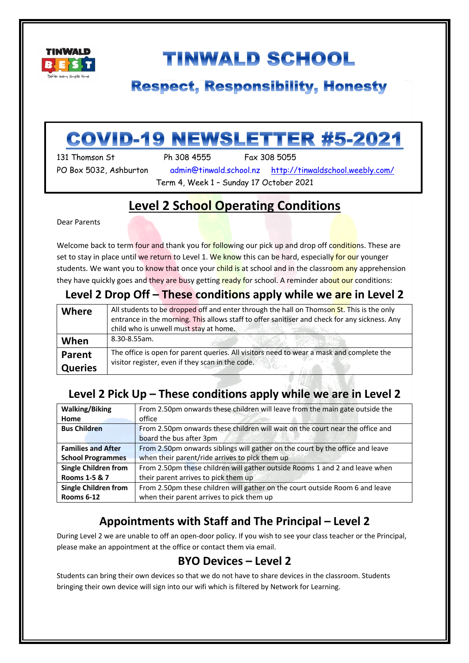

# **TINWALD SCHOOL**

## **Respect, Responsibility, Honesty**

# **COVID-19 NEWSLETTER #5-2021**

131 Thomson St Ph 308 4555 Fax 308 5055

PO Box 5032, Ashburton admin@tinwald.school.nz http://tinwaldschool.weebly.com/ Term 4, Week 1 – Sunday 17 October 2021

## **Level 2 School Operating Conditions**

Dear Parents

i

Welcome back to term four and thank you for following our pick up and drop off conditions. These are set to stay in place until we return to Level 1. We know this can be hard, especially for our younger students. We want you to know that once your child is at school and in the classroom any apprehension they have quickly goes and they are busy getting ready for school. A reminder about our conditions:

### **Level 2 Drop Off – These conditions apply while we are in Level 2**

| <b>Where</b>   | All students to be dropped off and enter through the hall on Thomson St. This is the only     |
|----------------|-----------------------------------------------------------------------------------------------|
|                | entrance in the morning. This allows staff to offer sanitiser and check for any sickness. Any |
|                | child who is unwell must stay at home.                                                        |
| When           | 8.30-8.55am.                                                                                  |
| Parent         | The office is open for parent queries. All visitors need to wear a mask and complete the      |
| <b>Queries</b> | visitor register, even if they scan in the code.                                              |

### **Level 2 Pick Up – These conditions apply while we are in Level 2**

| <b>Walking/Biking</b>       | From 2.50pm onwards these children will leave from the main gate outside the  |
|-----------------------------|-------------------------------------------------------------------------------|
| <b>Home</b>                 | office                                                                        |
| <b>Bus Children</b>         | From 2.50pm onwards these children will wait on the court near the office and |
|                             | board the bus after 3pm                                                       |
| <b>Families and After</b>   | From 2.50pm onwards siblings will gather on the court by the office and leave |
| <b>School Programmes</b>    | when their parent/ride arrives to pick them up                                |
| <b>Single Children from</b> | From 2.50pm these children will gather outside Rooms 1 and 2 and leave when   |
| Rooms 1-5 & 7               | their parent arrives to pick them up                                          |
| <b>Single Children from</b> | From 2.50pm these children will gather on the court outside Room 6 and leave  |
| Rooms 6-12                  | when their parent arrives to pick them up                                     |

## **Appointments with Staff and The Principal – Level 2**

During Level 2 we are unable to off an open-door policy. If you wish to see your class teacher or the Principal, please make an appointment at the office or contact them via email.

### **BYO Devices – Level 2**

Students can bring their own devices so that we do not have to share devices in the classroom. Students bringing their own device will sign into our wifi which is filtered by Network for Learning.